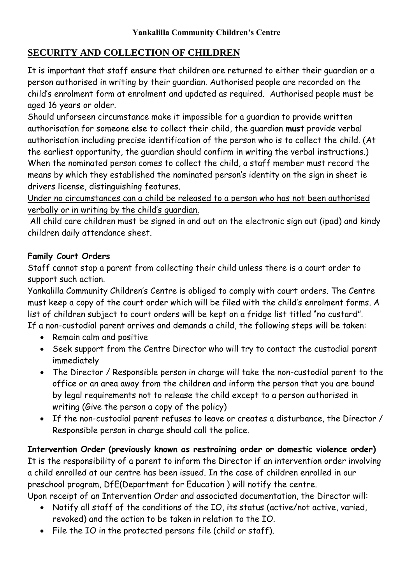## **SECURITY AND COLLECTION OF CHILDREN**

It is important that staff ensure that children are returned to either their guardian or a person authorised in writing by their guardian. Authorised people are recorded on the child's enrolment form at enrolment and updated as required. Authorised people must be aged 16 years or older.

Should unforseen circumstance make it impossible for a guardian to provide written authorisation for someone else to collect their child, the guardian **must** provide verbal authorisation including precise identification of the person who is to collect the child. (At the earliest opportunity, the guardian should confirm in writing the verbal instructions.) When the nominated person comes to collect the child, a staff member must record the means by which they established the nominated person's identity on the sign in sheet ie drivers license, distinguishing features.

Under no circumstances can a child be released to a person who has not been authorised verbally or in writing by the child's guardian.

All child care children must be signed in and out on the electronic sign out (ipad) and kindy children daily attendance sheet.

## **Family Court Orders**

Staff cannot stop a parent from collecting their child unless there is a court order to support such action.

Yankalilla Community Children's Centre is obliged to comply with court orders. The Centre must keep a copy of the court order which will be filed with the child's enrolment forms. A list of children subject to court orders will be kept on a fridge list titled "no custard". If a non-custodial parent arrives and demands a child, the following steps will be taken:

- Remain calm and positive
- Seek support from the Centre Director who will try to contact the custodial parent immediately
- The Director / Responsible person in charge will take the non-custodial parent to the office or an area away from the children and inform the person that you are bound by legal requirements not to release the child except to a person authorised in writing (Give the person a copy of the policy)
- If the non-custodial parent refuses to leave or creates a disturbance, the Director / Responsible person in charge should call the police.

**Intervention Order (previously known as restraining order or domestic violence order)** It is the responsibility of a parent to inform the Director if an intervention order involving a child enrolled at our centre has been issued. In the case of children enrolled in our preschool program, DfE(Department for Education ) will notify the centre. Upon receipt of an Intervention Order and associated documentation, the Director will:

- Notify all staff of the conditions of the IO, its status (active/not active, varied, revoked) and the action to be taken in relation to the IO.
- File the IO in the protected persons file (child or staff).